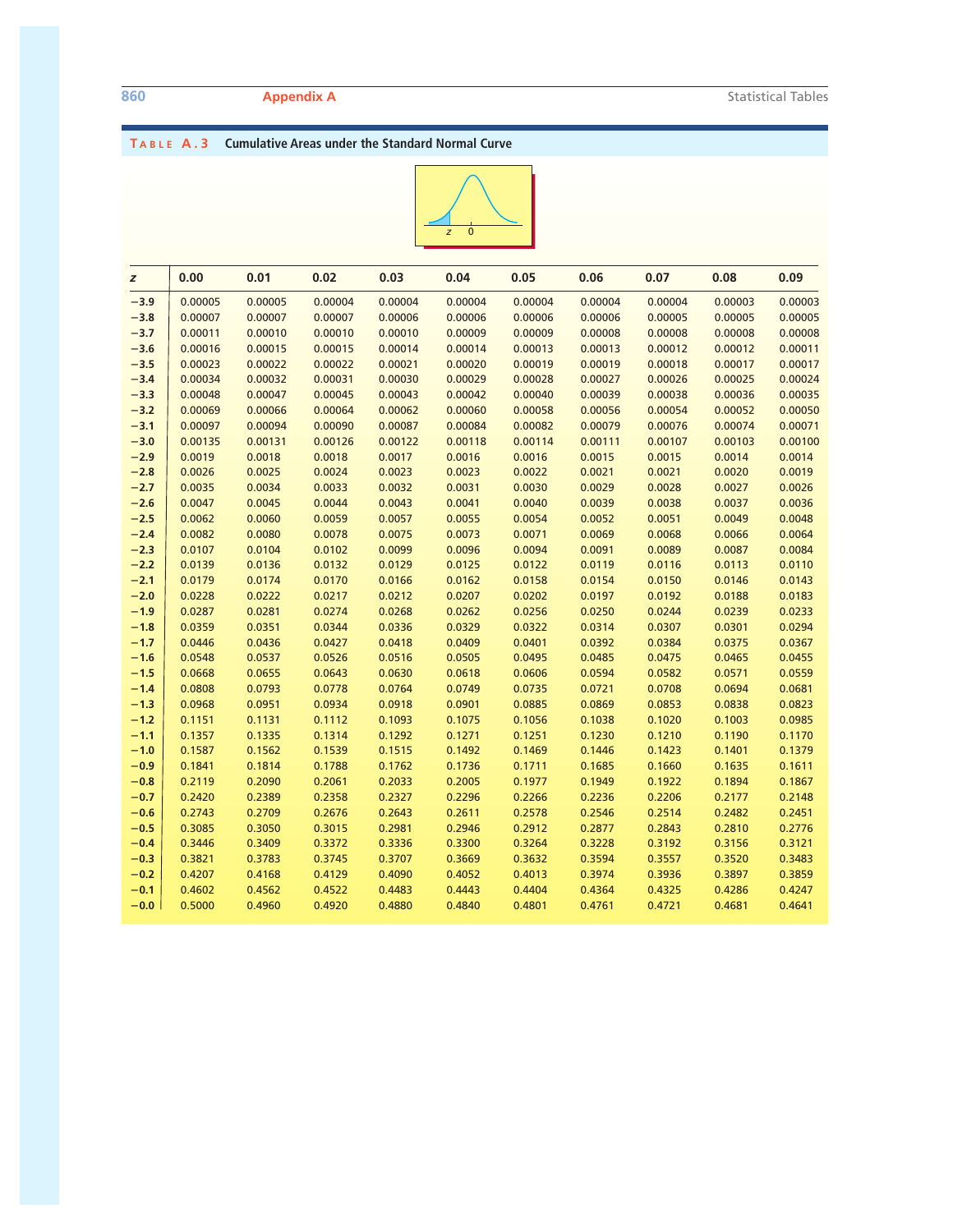### **T ABLE A.3 Cumulative Areas under the Standard Normal Curve**



| z      | 0.00    | 0.01    | 0.02    | 0.03    | 0.04    | 0.05    | 0.06    | 0.07    | 0.08    | 0.09    |
|--------|---------|---------|---------|---------|---------|---------|---------|---------|---------|---------|
| $-3.9$ | 0.00005 | 0.00005 | 0.00004 | 0.00004 | 0.00004 | 0.00004 | 0.00004 | 0.00004 | 0.00003 | 0.00003 |
| $-3.8$ | 0.00007 | 0.00007 | 0.00007 | 0.00006 | 0.00006 | 0.00006 | 0.00006 | 0.00005 | 0.00005 | 0.00005 |
| $-3.7$ | 0.00011 | 0.00010 | 0.00010 | 0.00010 | 0.00009 | 0.00009 | 0.00008 | 0.00008 | 0.00008 | 0.00008 |
| $-3.6$ | 0.00016 | 0.00015 | 0.00015 | 0.00014 | 0.00014 | 0.00013 | 0.00013 | 0.00012 | 0.00012 | 0.00011 |
| $-3.5$ | 0.00023 | 0.00022 | 0.00022 | 0.00021 | 0.00020 | 0.00019 | 0.00019 | 0.00018 | 0.00017 | 0.00017 |
| $-3.4$ | 0.00034 | 0.00032 | 0.00031 | 0.00030 | 0.00029 | 0.00028 | 0.00027 | 0.00026 | 0.00025 | 0.00024 |
| $-3.3$ | 0.00048 | 0.00047 | 0.00045 | 0.00043 | 0.00042 | 0.00040 | 0.00039 | 0.00038 | 0.00036 | 0.00035 |
| $-3.2$ | 0.00069 | 0.00066 | 0.00064 | 0.00062 | 0.00060 | 0.00058 | 0.00056 | 0.00054 | 0.00052 | 0.00050 |
| $-3.1$ | 0.00097 | 0.00094 | 0.00090 | 0.00087 | 0.00084 | 0.00082 | 0.00079 | 0.00076 | 0.00074 | 0.00071 |
| $-3.0$ | 0.00135 | 0.00131 | 0.00126 | 0.00122 | 0.00118 | 0.00114 | 0.00111 | 0.00107 | 0.00103 | 0.00100 |
| $-2.9$ | 0.0019  | 0.0018  | 0.0018  | 0.0017  | 0.0016  | 0.0016  | 0.0015  | 0.0015  | 0.0014  | 0.0014  |
| $-2.8$ | 0.0026  | 0.0025  | 0.0024  | 0.0023  | 0.0023  | 0.0022  | 0.0021  | 0.0021  | 0.0020  | 0.0019  |
| $-2.7$ | 0.0035  | 0.0034  | 0.0033  | 0.0032  | 0.0031  | 0.0030  | 0.0029  | 0.0028  | 0.0027  | 0.0026  |
| $-2.6$ | 0.0047  | 0.0045  | 0.0044  | 0.0043  | 0.0041  | 0.0040  | 0.0039  | 0.0038  | 0.0037  | 0.0036  |
| $-2.5$ | 0.0062  | 0.0060  | 0.0059  | 0.0057  | 0.0055  | 0.0054  | 0.0052  | 0.0051  | 0.0049  | 0.0048  |
| $-2.4$ | 0.0082  | 0.0080  | 0.0078  | 0.0075  | 0.0073  | 0.0071  | 0.0069  | 0.0068  | 0.0066  | 0.0064  |
| $-2.3$ | 0.0107  | 0.0104  | 0.0102  | 0.0099  | 0.0096  | 0.0094  | 0.0091  | 0.0089  | 0.0087  | 0.0084  |
| $-2.2$ | 0.0139  | 0.0136  | 0.0132  | 0.0129  | 0.0125  | 0.0122  | 0.0119  | 0.0116  | 0.0113  | 0.0110  |
| $-2.1$ | 0.0179  | 0.0174  | 0.0170  | 0.0166  | 0.0162  | 0.0158  | 0.0154  | 0.0150  | 0.0146  | 0.0143  |
| $-2.0$ | 0.0228  | 0.0222  | 0.0217  | 0.0212  | 0.0207  | 0.0202  | 0.0197  | 0.0192  | 0.0188  | 0.0183  |
| $-1.9$ | 0.0287  | 0.0281  | 0.0274  | 0.0268  | 0.0262  | 0.0256  | 0.0250  | 0.0244  | 0.0239  | 0.0233  |
| $-1.8$ | 0.0359  | 0.0351  | 0.0344  | 0.0336  | 0.0329  | 0.0322  | 0.0314  | 0.0307  | 0.0301  | 0.0294  |
| $-1.7$ | 0.0446  | 0.0436  | 0.0427  | 0.0418  | 0.0409  | 0.0401  | 0.0392  | 0.0384  | 0.0375  | 0.0367  |
| $-1.6$ | 0.0548  | 0.0537  | 0.0526  | 0.0516  | 0.0505  | 0.0495  | 0.0485  | 0.0475  | 0.0465  | 0.0455  |
| $-1.5$ | 0.0668  | 0.0655  | 0.0643  | 0.0630  | 0.0618  | 0.0606  | 0.0594  | 0.0582  | 0.0571  | 0.0559  |
| $-1.4$ | 0.0808  | 0.0793  | 0.0778  | 0.0764  | 0.0749  | 0.0735  | 0.0721  | 0.0708  | 0.0694  | 0.0681  |
| $-1.3$ | 0.0968  | 0.0951  | 0.0934  | 0.0918  | 0.0901  | 0.0885  | 0.0869  | 0.0853  | 0.0838  | 0.0823  |
| $-1.2$ | 0.1151  | 0.1131  | 0.1112  | 0.1093  | 0.1075  | 0.1056  | 0.1038  | 0.1020  | 0.1003  | 0.0985  |
| $-1.1$ | 0.1357  | 0.1335  | 0.1314  | 0.1292  | 0.1271  | 0.1251  | 0.1230  | 0.1210  | 0.1190  | 0.1170  |
| $-1.0$ | 0.1587  | 0.1562  | 0.1539  | 0.1515  | 0.1492  | 0.1469  | 0.1446  | 0.1423  | 0.1401  | 0.1379  |
| $-0.9$ | 0.1841  | 0.1814  | 0.1788  | 0.1762  | 0.1736  | 0.1711  | 0.1685  | 0.1660  | 0.1635  | 0.1611  |
| $-0.8$ | 0.2119  | 0.2090  | 0.2061  | 0.2033  | 0.2005  | 0.1977  | 0.1949  | 0.1922  | 0.1894  | 0.1867  |
| $-0.7$ | 0.2420  | 0.2389  | 0.2358  | 0.2327  | 0.2296  | 0.2266  | 0.2236  | 0.2206  | 0.2177  | 0.2148  |
| $-0.6$ | 0.2743  | 0.2709  | 0.2676  | 0.2643  | 0.2611  | 0.2578  | 0.2546  | 0.2514  | 0.2482  | 0.2451  |
| $-0.5$ | 0.3085  | 0.3050  | 0.3015  | 0.2981  | 0.2946  | 0.2912  | 0.2877  | 0.2843  | 0.2810  | 0.2776  |
| $-0.4$ | 0.3446  | 0.3409  | 0.3372  | 0.3336  | 0.3300  | 0.3264  | 0.3228  | 0.3192  | 0.3156  | 0.3121  |
| $-0.3$ | 0.3821  | 0.3783  | 0.3745  | 0.3707  | 0.3669  | 0.3632  | 0.3594  | 0.3557  | 0.3520  | 0.3483  |
| $-0.2$ | 0.4207  | 0.4168  | 0.4129  | 0.4090  | 0.4052  | 0.4013  | 0.3974  | 0.3936  | 0.3897  | 0.3859  |
| $-0.1$ | 0.4602  | 0.4562  | 0.4522  | 0.4483  | 0.4443  | 0.4404  | 0.4364  | 0.4325  | 0.4286  | 0.4247  |
| $-0.0$ | 0.5000  | 0.4960  | 0.4920  | 0.4880  | 0.4840  | 0.4801  | 0.4761  | 0.4721  | 0.4681  | 0.4641  |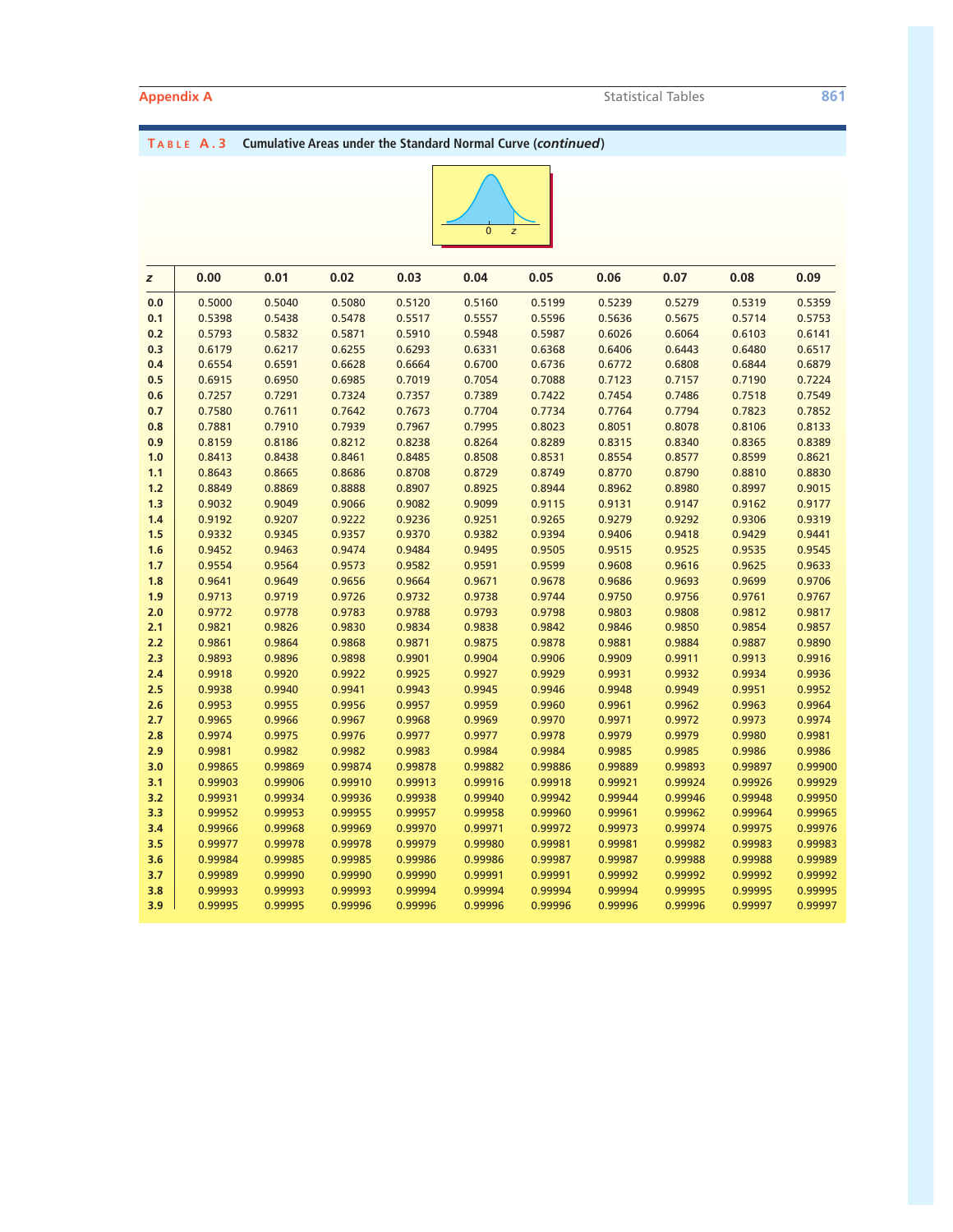## **T ABLE A.3 Cumulative Areas under the Standard Normal Curve (***continued***)**



| z     | 0.00    | 0.01    | 0.02    | 0.03    | 0.04    | 0.05    | 0.06    | 0.07    | 0.08    | 0.09    |
|-------|---------|---------|---------|---------|---------|---------|---------|---------|---------|---------|
| 0.0   | 0.5000  | 0.5040  | 0.5080  | 0.5120  | 0.5160  | 0.5199  | 0.5239  | 0.5279  | 0.5319  | 0.5359  |
| 0.1   | 0.5398  | 0.5438  | 0.5478  | 0.5517  | 0.5557  | 0.5596  | 0.5636  | 0.5675  | 0.5714  | 0.5753  |
| 0.2   | 0.5793  | 0.5832  | 0.5871  | 0.5910  | 0.5948  | 0.5987  | 0.6026  | 0.6064  | 0.6103  | 0.6141  |
| 0.3   | 0.6179  | 0.6217  | 0.6255  | 0.6293  | 0.6331  | 0.6368  | 0.6406  | 0.6443  | 0.6480  | 0.6517  |
| 0.4   | 0.6554  | 0.6591  | 0.6628  | 0.6664  | 0.6700  | 0.6736  | 0.6772  | 0.6808  | 0.6844  | 0.6879  |
| 0.5   | 0.6915  | 0.6950  | 0.6985  | 0.7019  | 0.7054  | 0.7088  | 0.7123  | 0.7157  | 0.7190  | 0.7224  |
| 0.6   | 0.7257  | 0.7291  | 0.7324  | 0.7357  | 0.7389  | 0.7422  | 0.7454  | 0.7486  | 0.7518  | 0.7549  |
| 0.7   | 0.7580  | 0.7611  | 0.7642  | 0.7673  | 0.7704  | 0.7734  | 0.7764  | 0.7794  | 0.7823  | 0.7852  |
| 0.8   | 0.7881  | 0.7910  | 0.7939  | 0.7967  | 0.7995  | 0.8023  | 0.8051  | 0.8078  | 0.8106  | 0.8133  |
| 0.9   | 0.8159  | 0.8186  | 0.8212  | 0.8238  | 0.8264  | 0.8289  | 0.8315  | 0.8340  | 0.8365  | 0.8389  |
| 1.0   | 0.8413  | 0.8438  | 0.8461  | 0.8485  | 0.8508  | 0.8531  | 0.8554  | 0.8577  | 0.8599  | 0.8621  |
| 1.1   | 0.8643  | 0.8665  | 0.8686  | 0.8708  | 0.8729  | 0.8749  | 0.8770  | 0.8790  | 0.8810  | 0.8830  |
| $1.2$ | 0.8849  | 0.8869  | 0.8888  | 0.8907  | 0.8925  | 0.8944  | 0.8962  | 0.8980  | 0.8997  | 0.9015  |
| 1.3   | 0.9032  | 0.9049  | 0.9066  | 0.9082  | 0.9099  | 0.9115  | 0.9131  | 0.9147  | 0.9162  | 0.9177  |
| 1.4   | 0.9192  | 0.9207  | 0.9222  | 0.9236  | 0.9251  | 0.9265  | 0.9279  | 0.9292  | 0.9306  | 0.9319  |
| 1.5   | 0.9332  | 0.9345  | 0.9357  | 0.9370  | 0.9382  | 0.9394  | 0.9406  | 0.9418  | 0.9429  | 0.9441  |
| 1.6   | 0.9452  | 0.9463  | 0.9474  | 0.9484  | 0.9495  | 0.9505  | 0.9515  | 0.9525  | 0.9535  | 0.9545  |
| 1.7   | 0.9554  | 0.9564  | 0.9573  | 0.9582  | 0.9591  | 0.9599  | 0.9608  | 0.9616  | 0.9625  | 0.9633  |
| 1.8   | 0.9641  | 0.9649  | 0.9656  | 0.9664  | 0.9671  | 0.9678  | 0.9686  | 0.9693  | 0.9699  | 0.9706  |
| 1.9   | 0.9713  | 0.9719  | 0.9726  | 0.9732  | 0.9738  | 0.9744  | 0.9750  | 0.9756  | 0.9761  | 0.9767  |
| 2.0   | 0.9772  | 0.9778  | 0.9783  | 0.9788  | 0.9793  | 0.9798  | 0.9803  | 0.9808  | 0.9812  | 0.9817  |
| 2.1   | 0.9821  | 0.9826  | 0.9830  | 0.9834  | 0.9838  | 0.9842  | 0.9846  | 0.9850  | 0.9854  | 0.9857  |
| 2.2   | 0.9861  | 0.9864  | 0.9868  | 0.9871  | 0.9875  | 0.9878  | 0.9881  | 0.9884  | 0.9887  | 0.9890  |
| 2.3   | 0.9893  | 0.9896  | 0.9898  | 0.9901  | 0.9904  | 0.9906  | 0.9909  | 0.9911  | 0.9913  | 0.9916  |
| 2.4   | 0.9918  | 0.9920  | 0.9922  | 0.9925  | 0.9927  | 0.9929  | 0.9931  | 0.9932  | 0.9934  | 0.9936  |
| 2.5   | 0.9938  | 0.9940  | 0.9941  | 0.9943  | 0.9945  | 0.9946  | 0.9948  | 0.9949  | 0.9951  | 0.9952  |
| 2.6   | 0.9953  | 0.9955  | 0.9956  | 0.9957  | 0.9959  | 0.9960  | 0.9961  | 0.9962  | 0.9963  | 0.9964  |
| 2.7   | 0.9965  | 0.9966  | 0.9967  | 0.9968  | 0.9969  | 0.9970  | 0.9971  | 0.9972  | 0.9973  | 0.9974  |
| 2.8   | 0.9974  | 0.9975  | 0.9976  | 0.9977  | 0.9977  | 0.9978  | 0.9979  | 0.9979  | 0.9980  | 0.9981  |
| 2.9   | 0.9981  | 0.9982  | 0.9982  | 0.9983  | 0.9984  | 0.9984  | 0.9985  | 0.9985  | 0.9986  | 0.9986  |
| 3.0   | 0.99865 | 0.99869 | 0.99874 | 0.99878 | 0.99882 | 0.99886 | 0.99889 | 0.99893 | 0.99897 | 0.99900 |
| 3.1   | 0.99903 | 0.99906 | 0.99910 | 0.99913 | 0.99916 | 0.99918 | 0.99921 | 0.99924 | 0.99926 | 0.99929 |
| 3.2   | 0.99931 | 0.99934 | 0.99936 | 0.99938 | 0.99940 | 0.99942 | 0.99944 | 0.99946 | 0.99948 | 0.99950 |
| 3.3   | 0.99952 | 0.99953 | 0.99955 | 0.99957 | 0.99958 | 0.99960 | 0.99961 | 0.99962 | 0.99964 | 0.99965 |
| 3.4   | 0.99966 | 0.99968 | 0.99969 | 0.99970 | 0.99971 | 0.99972 | 0.99973 | 0.99974 | 0.99975 | 0.99976 |
| 3.5   | 0.99977 | 0.99978 | 0.99978 | 0.99979 | 0.99980 | 0.99981 | 0.99981 | 0.99982 | 0.99983 | 0.99983 |
| 3.6   | 0.99984 | 0.99985 | 0.99985 | 0.99986 | 0.99986 | 0.99987 | 0.99987 | 0.99988 | 0.99988 | 0.99989 |
| 3.7   | 0.99989 | 0.99990 | 0.99990 | 0.99990 | 0.99991 | 0.99991 | 0.99992 | 0.99992 | 0.99992 | 0.99992 |
| 3.8   | 0.99993 | 0.99993 | 0.99993 | 0.99994 | 0.99994 | 0.99994 | 0.99994 | 0.99995 | 0.99995 | 0.99995 |
| 3.9   | 0.99995 | 0.99995 | 0.99996 | 0.99996 | 0.99996 | 0.99996 | 0.99996 | 0.99996 | 0.99997 | 0.99997 |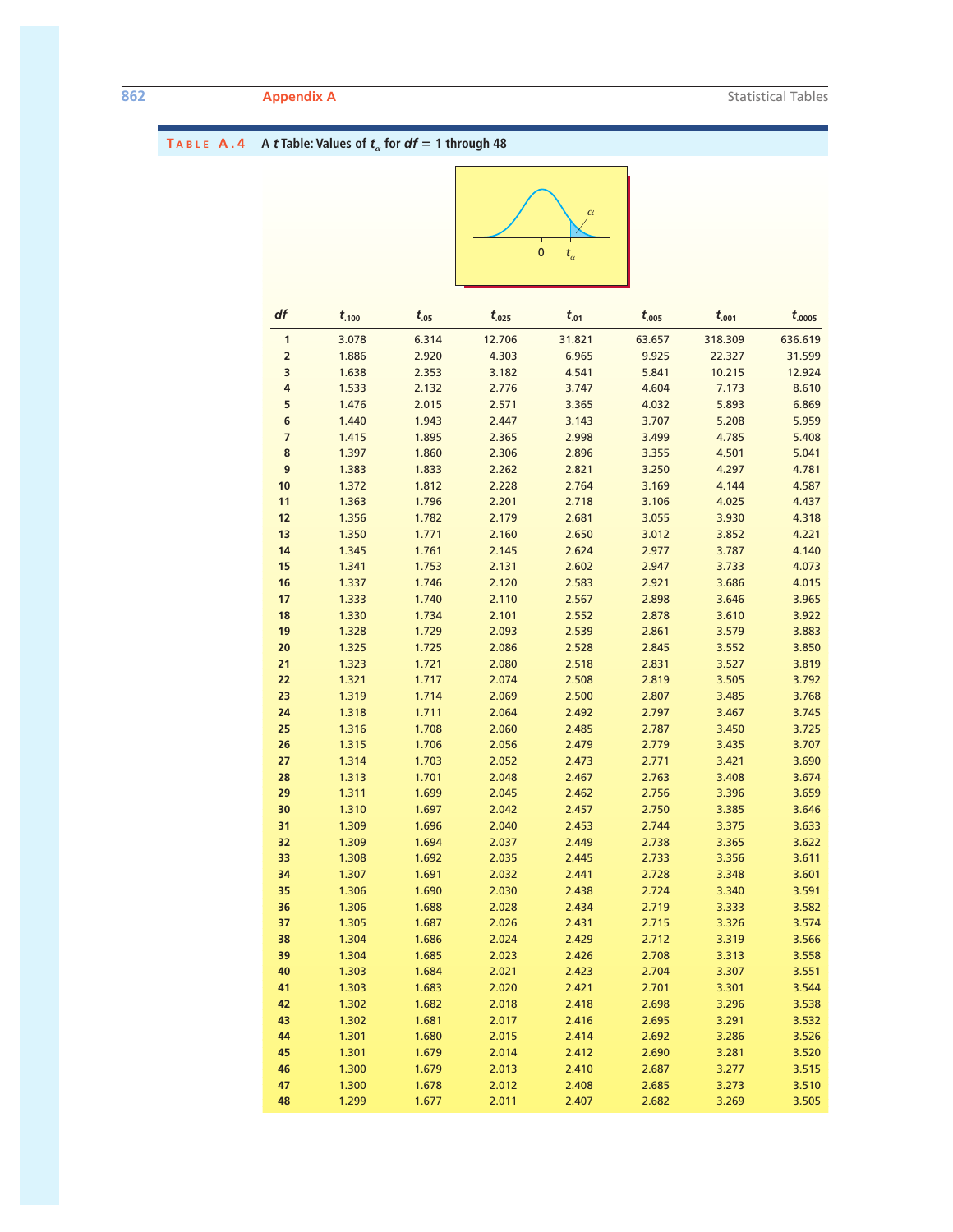|                |                |                |                | $\bf{0}$<br>$t_\alpha$ |                |                |                |
|----------------|----------------|----------------|----------------|------------------------|----------------|----------------|----------------|
| df             | $t_{.100}$     | $t_{.05}$      | $t_{.025}$     | $t_{.01}$              | $t_{.005}$     | $t_{.001}$     | $t_{.0005}$    |
| $\mathbf 1$    | 3.078          | 6.314          | 12.706         | 31.821                 | 63.657         | 318.309        | 636.619        |
| $\mathbf 2$    | 1.886          | 2.920          | 4.303          | 6.965                  | 9.925          | 22.327         | 31.599         |
| 3              | 1.638          | 2.353          | 3.182          | 4.541                  | 5.841          | 10.215         | 12.924         |
| 4              | 1.533          | 2.132          | 2.776          | 3.747                  | 4.604          | 7.173          | 8.610          |
| 5              | 1.476          | 2.015          | 2.571          | 3.365                  | 4.032          | 5.893          | 6.869          |
| 6              | 1.440          | 1.943          | 2.447          | 3.143                  | 3.707          | 5.208          | 5.959          |
| $\overline{7}$ | 1.415          | 1.895          | 2.365          | 2.998                  | 3.499          | 4.785          | 5.408          |
| $\bf8$         | 1.397          | 1.860          | 2.306          | 2.896                  | 3.355          | 4.501          | 5.041          |
| 9              | 1.383          | 1.833          | 2.262          | 2.821                  | 3.250          | 4.297          | 4.781          |
| $10\,$         | 1.372          | 1.812          | 2.228          | 2.764                  | 3.169          | 4.144          | 4.587          |
| 11             | 1.363          | 1.796          | 2.201          | 2.718                  | 3.106          | 4.025          | 4.437          |
| 12             | 1.356          | 1.782          | 2.179          | 2.681                  | 3.055          | 3.930          | 4.318          |
| 13             | 1.350          | 1.771          | 2.160          | 2.650                  | 3.012          | 3.852          | 4.221          |
| 14             | 1.345          | 1.761          | 2.145          | 2.624                  | 2.977          | 3.787          | 4.140          |
| 15<br>16       | 1.341<br>1.337 | 1.753<br>1.746 | 2.131<br>2.120 | 2.602<br>2.583         | 2.947<br>2.921 | 3.733<br>3.686 | 4.073<br>4.015 |
| 17             | 1.333          | 1.740          | 2.110          | 2.567                  | 2.898          | 3.646          | 3.965          |
| 18             | 1.330          | 1.734          | 2.101          | 2.552                  | 2.878          | 3.610          | 3.922          |
| 19             | 1.328          | 1.729          | 2.093          | 2.539                  | 2.861          | 3.579          | 3.883          |
| 20             | 1.325          | 1.725          | 2.086          | 2.528                  | 2.845          | 3.552          | 3.850          |
| 21             | 1.323          | 1.721          | 2.080          | 2.518                  | 2.831          | 3.527          | 3.819          |
| 22             | 1.321          | 1.717          | 2.074          | 2.508                  | 2.819          | 3.505          | 3.792          |
| 23             | 1.319          | 1.714          | 2.069          | 2.500                  | 2.807          | 3.485          | 3.768          |
| 24             | 1.318          | 1.711          | 2.064          | 2.492                  | 2.797          | 3.467          | 3.745          |
| 25             | 1.316          | 1.708          | 2.060          | 2.485                  | 2.787          | 3.450          | 3.725          |
| 26             | 1.315          | 1.706          | 2.056          | 2.479                  | 2.779          | 3.435          | 3.707          |
| 27             | 1.314          | 1.703          | 2.052          | 2.473                  | 2.771          | 3.421          | 3.690          |
| 28             | 1.313          | 1.701          | 2.048          | 2.467                  | 2.763          | 3.408          | 3.674          |
| 29             | 1.311          | 1.699          | 2.045          | 2.462                  | 2.756          | 3.396          | 3.659          |
| 30             | 1.310          | 1.697          | 2.042          | 2.457                  | 2.750          | 3.385          | 3.646          |
| 31             | 1.309          | 1.696          | 2.040          | 2.453                  | 2.744          | 3.375          | 3.633          |
| 32             | 1.309          | 1.694          | 2.037          | 2.449                  | 2.738          | 3.365          | 3.622          |
| 33             | 1.308          | 1.692          | 2.035          | 2.445                  | 2.733          | 3.356          | 3.611          |
| 34             | 1.307          | 1.691          | 2.032          | 2.441                  | 2.728          | 3.348          | 3.601          |
| 35<br>36       | 1.306<br>1.306 | 1.690<br>1.688 | 2.030<br>2.028 | 2.438<br>2.434         | 2.724<br>2.719 | 3.340<br>3.333 | 3.591<br>3.582 |
| 37             | 1.305          | 1.687          | 2.026          | 2.431                  | 2.715          | 3.326          | 3.574          |
| 38             | 1.304          | 1.686          | 2.024          | 2.429                  | 2.712          | 3.319          | 3.566          |
| 39             | 1.304          | 1.685          | 2.023          | 2.426                  | 2.708          | 3.313          | 3.558          |
| 40             | 1.303          | 1.684          | 2.021          | 2.423                  | 2.704          | 3.307          | 3.551          |
| 41             | 1.303          | 1.683          | 2.020          | 2.421                  | 2.701          | 3.301          | 3.544          |
| 42             | 1.302          | 1.682          | 2.018          | 2.418                  | 2.698          | 3.296          | 3.538          |
| 43             | 1.302          | 1.681          | 2.017          | 2.416                  | 2.695          | 3.291          | 3.532          |
| 44             | 1.301          | 1.680          | 2.015          | 2.414                  | 2.692          | 3.286          | 3.526          |
| 45             | 1.301          | 1.679          | 2.014          | 2.412                  | 2.690          | 3.281          | 3.520          |
| 46             | 1.300          | 1.679          | 2.013          | 2.410                  | 2.687          | 3.277          | 3.515          |
| 47             | 1.300          | 1.678          | 2.012          | 2.408                  | 2.685          | 3.273          | 3.510          |
| 48             | 1.299          | 1.677          | 2.011          | 2.407                  | 2.682          | 3.269          | 3.505          |

# **TABLE A.4 A** *t* **Table: Values of**  $t_{\alpha}$  **for**  $df = 1$  **through 48**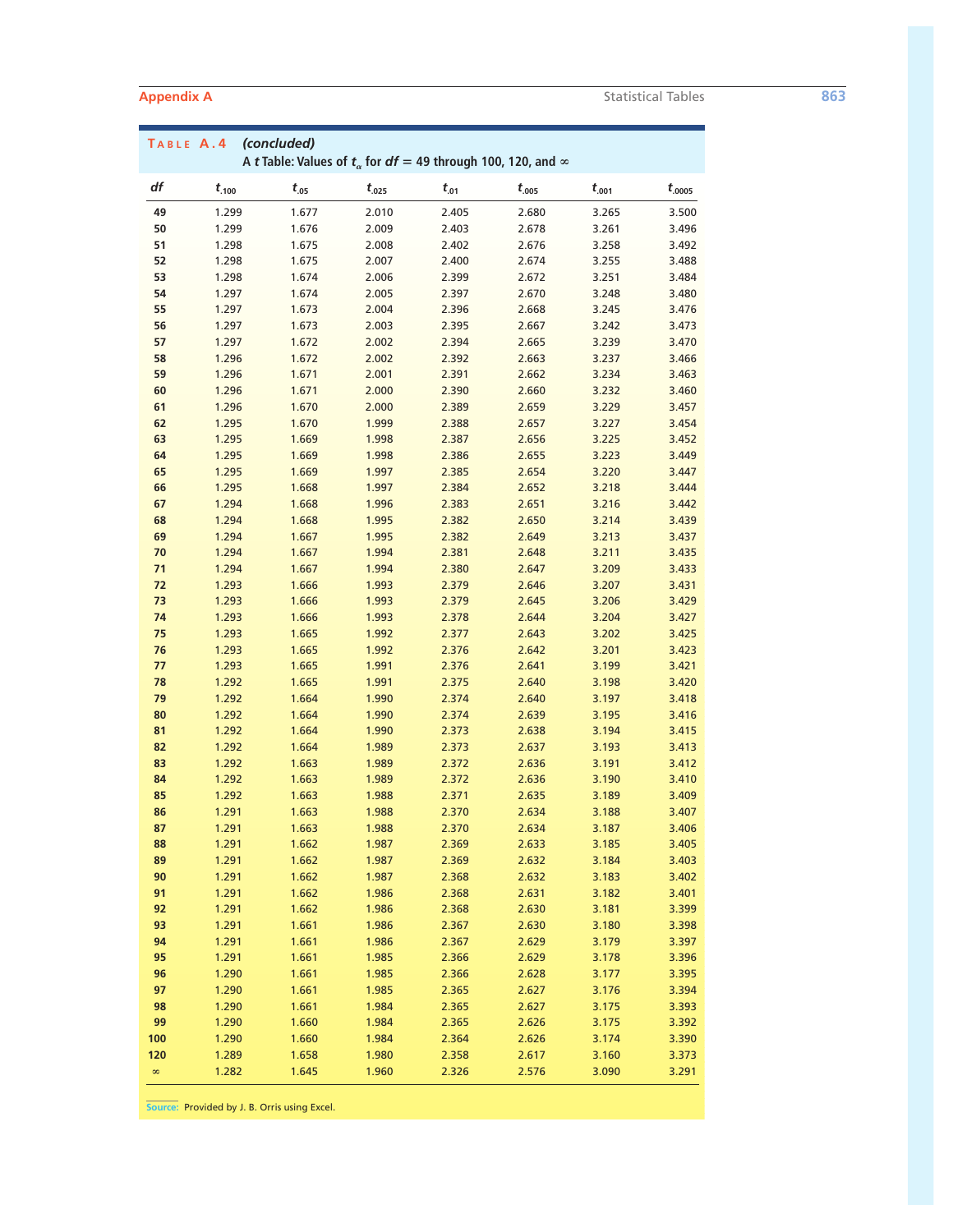| TABLE A.4 |                | (concluded)    |                |                | A t Table: Values of $t_{\alpha}$ for $df = 49$ through 100, 120, and $\infty$ |                |                |
|-----------|----------------|----------------|----------------|----------------|--------------------------------------------------------------------------------|----------------|----------------|
| df        | $t_{.100}$     | $t_{.05}$      | $t_{.025}$     | $t_{.01}$      | $t_{.005}$                                                                     | $t_{.001}$     | $t_{.0005}$    |
| 49        | 1.299          | 1.677          | 2.010          | 2.405          | 2.680                                                                          | 3.265          | 3.500          |
| 50        | 1.299          | 1.676          | 2.009          | 2.403          | 2.678                                                                          | 3.261          | 3.496          |
| 51        | 1.298          | 1.675          | 2.008          | 2.402          | 2.676                                                                          | 3.258          | 3.492          |
| 52        | 1.298          | 1.675          | 2.007          | 2.400          | 2.674                                                                          | 3.255          | 3.488          |
| 53        | 1.298          | 1.674          | 2.006          | 2.399          | 2.672                                                                          | 3.251          | 3.484          |
| 54        | 1.297          | 1.674          | 2.005          | 2.397          | 2.670                                                                          | 3.248          | 3.480          |
| 55        | 1.297          | 1.673          | 2.004          | 2.396          | 2.668                                                                          | 3.245          | 3.476          |
| 56<br>57  | 1.297          | 1.673<br>1.672 | 2.003          | 2.395<br>2.394 | 2.667                                                                          | 3.242          | 3.473          |
| 58        | 1.297<br>1.296 | 1.672          | 2.002<br>2.002 | 2.392          | 2.665<br>2.663                                                                 | 3.239<br>3.237 | 3.470<br>3.466 |
| 59        | 1.296          | 1.671          | 2.001          | 2.391          | 2.662                                                                          | 3.234          | 3.463          |
| 60        | 1.296          | 1.671          | 2.000          | 2.390          | 2.660                                                                          | 3.232          | 3.460          |
| 61        | 1.296          | 1.670          | 2.000          | 2.389          | 2.659                                                                          | 3.229          | 3.457          |
| 62        | 1.295          | 1.670          | 1.999          | 2.388          | 2.657                                                                          | 3.227          | 3.454          |
| 63        | 1.295          | 1.669          | 1.998          | 2.387          | 2.656                                                                          | 3.225          | 3.452          |
| 64        | 1.295          | 1.669          | 1.998          | 2.386          | 2.655                                                                          | 3.223          | 3.449          |
| 65        | 1.295          | 1.669          | 1.997          | 2.385          | 2.654                                                                          | 3.220          | 3.447          |
| 66        | 1.295          | 1.668          | 1.997          | 2.384          | 2.652                                                                          | 3.218          | 3.444          |
| 67        | 1.294          | 1.668          | 1.996          | 2.383          | 2.651                                                                          | 3.216          | 3.442          |
| 68        | 1.294          | 1.668          | 1.995          | 2.382          | 2.650                                                                          | 3.214          | 3.439          |
| 69        | 1.294          | 1.667          | 1.995          | 2.382          | 2.649                                                                          | 3.213          | 3.437          |
| 70        | 1.294          | 1.667          | 1.994          | 2.381          | 2.648                                                                          | 3.211          | 3.435          |
| 71        | 1.294          | 1.667          | 1.994          | 2.380          | 2.647                                                                          | 3.209          | 3.433          |
| 72        | 1.293          | 1.666          | 1.993          | 2.379          | 2.646                                                                          | 3.207          | 3.431          |
| 73        | 1.293          | 1.666          | 1.993          | 2.379          | 2.645                                                                          | 3.206          | 3.429          |
| 74        | 1.293          | 1.666          | 1.993          | 2.378          | 2.644                                                                          | 3.204          | 3.427          |
| 75<br>76  | 1.293          | 1.665          | 1.992<br>1.992 | 2.377          | 2.643<br>2.642                                                                 | 3.202          | 3.425          |
| 77        | 1.293<br>1.293 | 1.665<br>1.665 | 1.991          | 2.376<br>2.376 | 2.641                                                                          | 3.201<br>3.199 | 3.423<br>3.421 |
| 78        | 1.292          | 1.665          | 1.991          | 2.375          | 2.640                                                                          | 3.198          | 3.420          |
| 79        | 1.292          | 1.664          | 1.990          | 2.374          | 2.640                                                                          | 3.197          | 3.418          |
| 80        | 1.292          | 1.664          | 1.990          | 2.374          | 2.639                                                                          | 3.195          | 3.416          |
| 81        | 1.292          | 1.664          | 1.990          | 2.373          | 2.638                                                                          | 3.194          | 3.415          |
| 82        | 1.292          | 1.664          | 1.989          | 2.373          | 2.637                                                                          | 3.193          | 3.413          |
| 83        | 1.292          | 1.663          | 1.989          | 2.372          | 2.636                                                                          | 3.191          | 3.412          |
| 84        | 1.292          | 1.663          | 1.989          | 2.372          | 2.636                                                                          | 3.190          | 3.410          |
| 85        | 1.292          | 1.663          | 1.988          | 2.371          | 2.635                                                                          | 3.189          | 3.409          |
| 86        | 1.291          | 1.663          | 1.988          | 2.370          | 2.634                                                                          | 3.188          | 3.407          |
| 87        | 1.291          | 1.663          | 1.988          | 2.370          | 2.634                                                                          | 3.187          | 3.406          |
| 88        | 1.291          | 1.662          | 1.987          | 2.369          | 2.633                                                                          | 3.185          | 3.405          |
| 89        | 1.291          | 1.662          | 1.987          | 2.369          | 2.632                                                                          | 3.184          | 3.403          |
| 90        | 1.291          | 1.662          | 1.987          | 2.368          | 2.632                                                                          | 3.183          | 3.402          |
| 91<br>92  | 1.291<br>1.291 | 1.662<br>1.662 | 1.986<br>1.986 | 2.368<br>2.368 | 2.631<br>2.630                                                                 | 3.182<br>3.181 | 3.401<br>3.399 |
| 93        | 1.291          | 1.661          | 1.986          | 2.367          | 2.630                                                                          | 3.180          | 3.398          |
| 94        | 1.291          | 1.661          | 1.986          | 2.367          | 2.629                                                                          | 3.179          | 3.397          |
| 95        | 1.291          | 1.661          | 1.985          | 2.366          | 2.629                                                                          | 3.178          | 3.396          |
| 96        | 1.290          | 1.661          | 1.985          | 2.366          | 2.628                                                                          | 3.177          | 3.395          |
| 97        | 1.290          | 1.661          | 1.985          | 2.365          | 2.627                                                                          | 3.176          | 3.394          |
| 98        | 1.290          | 1.661          | 1.984          | 2.365          | 2.627                                                                          | 3.175          | 3.393          |
| 99        | 1.290          | 1.660          | 1.984          | 2.365          | 2.626                                                                          | 3.175          | 3.392          |
| 100       | 1.290          | 1.660          | 1.984          | 2.364          | 2.626                                                                          | 3.174          | 3.390          |
| 120       | 1.289          | 1.658          | 1.980          | 2.358          | 2.617                                                                          | 3.160          | 3.373          |
| $\infty$  | 1.282          | 1.645          | 1.960          | 2.326          | 2.576                                                                          | 3.090          | 3.291          |

**Source:** Provided by J. B. Orris using Excel.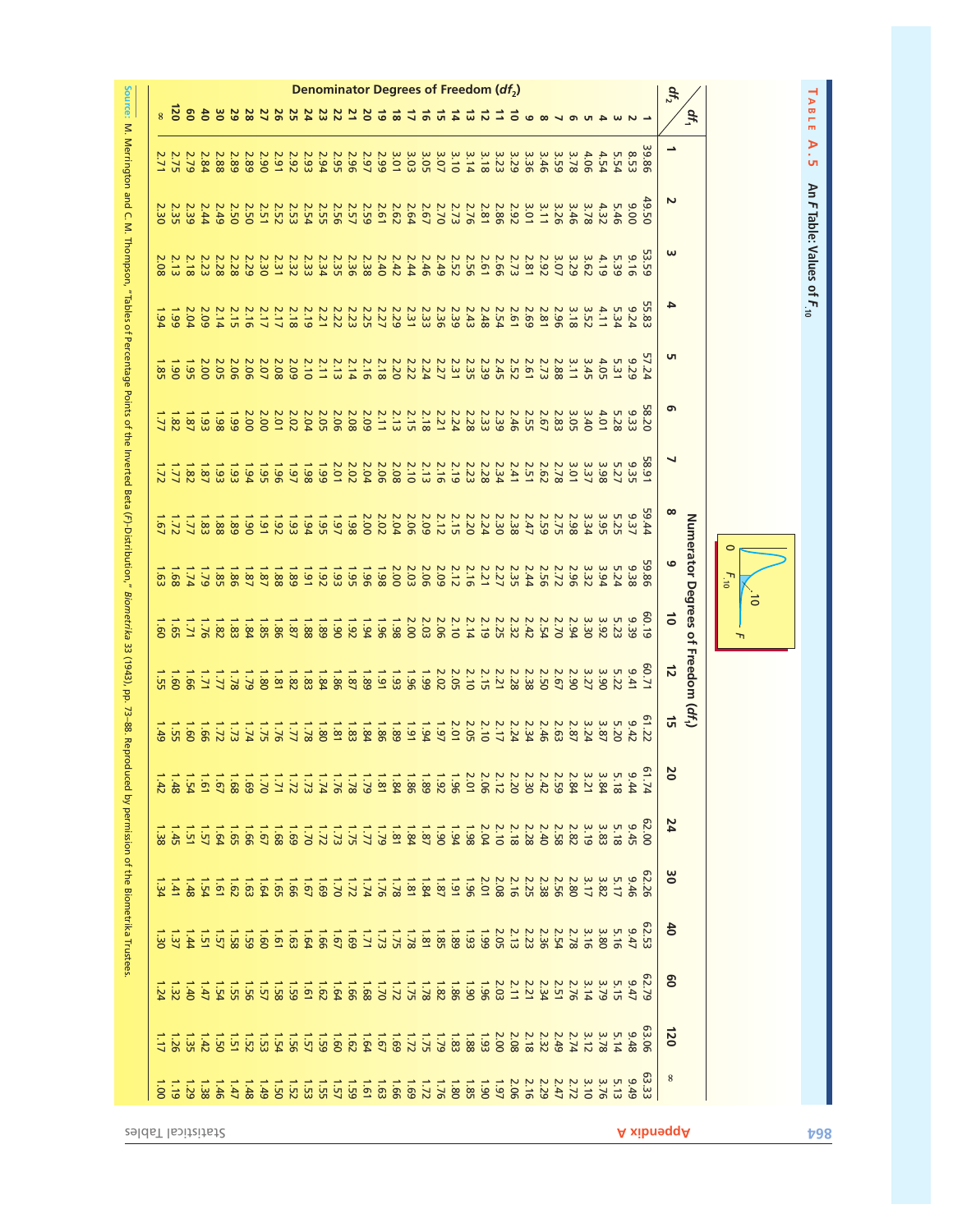

|                          |                   |                            |                                                                                                                                             |                |                |                 |                   |                 |                   |      |                  |              |                                                                                                                                                                         |             |                  |                  |             |                         |                  | Denominator Degrees of Freedom (df <sub>2</sub> ) |                  |                                                                                                                                                                                                                                                                                                                       |                     |                                                                                                                                                                                                                                                                                          |              |                                 |      |      |                                                             |      |      |                |              | $d_{I_2}$     |                                    |                      |           |  |                                       |
|--------------------------|-------------------|----------------------------|---------------------------------------------------------------------------------------------------------------------------------------------|----------------|----------------|-----------------|-------------------|-----------------|-------------------|------|------------------|--------------|-------------------------------------------------------------------------------------------------------------------------------------------------------------------------|-------------|------------------|------------------|-------------|-------------------------|------------------|---------------------------------------------------|------------------|-----------------------------------------------------------------------------------------------------------------------------------------------------------------------------------------------------------------------------------------------------------------------------------------------------------------------|---------------------|------------------------------------------------------------------------------------------------------------------------------------------------------------------------------------------------------------------------------------------------------------------------------------------|--------------|---------------------------------|------|------|-------------------------------------------------------------|------|------|----------------|--------------|---------------|------------------------------------|----------------------|-----------|--|---------------------------------------|
|                          | <b>b</b>          | g                          |                                                                                                                                             |                | 29             |                 | 2628              |                 |                   |      |                  |              |                                                                                                                                                                         |             |                  |                  | さま          |                         | ᇚ                | ュ                                                 | ದ                | ನ                                                                                                                                                                                                                                                                                                                     | Ξ                   |                                                                                                                                                                                                                                                                                          |              |                                 |      |      |                                                             |      |      |                |              |               | df <sub>1</sub>                    |                      |           |  | TABLE                                 |
| 2.71                     | <b>2.75</b>       | 2.79                       | 2.84                                                                                                                                        | 2.88           | 2.89           | 2.89            | 2.90              | 2.91            | 2.92              | 2.93 | 2.94             | 2.95         | 2.96                                                                                                                                                                    | 2.99        |                  | 3.01             | 3.03        | 3.05                    | 3.07             | 3.10                                              | 3.14             | 3.18                                                                                                                                                                                                                                                                                                                  | 3.29<br>3.23        |                                                                                                                                                                                                                                                                                          | 3.36         | 3.46                            | 3.59 | 3.78 | 4.06                                                        | 4.54 | 5.54 | 8.53           | 39.86        |               |                                    |                      |           |  | A.5                                   |
| $\ddot{\mathrm{g}}$      | 2.35              | 2.39                       | 2.44                                                                                                                                        | 2.49           | <b>2.50</b>    | <b>2.50</b>     | 2.51              | <b>2.52</b>     | <b>2.53</b>       | 2.54 | <b>2.55</b>      | 2.56         | <b>2.57</b>                                                                                                                                                             | <b>2.59</b> | 2.61             | 2.62             | 2.64        | 2.67                    | 2.70             | 2.73                                              | 2.76             | $\begin{array}{c} 3 & 3 & 3 & 3 & 3 & 3 & 3 & 3 & 3 \\ 3 & 1 & 2 & 3 & 3 & 3 & 3 & 5 \\ 4 & 1 & 2 & 3 & 3 & 3 & 6 & 5 \\ 5 & 1 & 3 & 3 & 3 & 5 & 5 & 5 \\ 6 & 1 & 3 & 3 & 3 & 5 & 5 & 5 \\ 7 & 1 & 3 & 3 & 3 & 5 & 5 & 5 \\ 8 & 1 & 3 & 3 & 3 & 5 & 5 & 5 \\ 9 & 1 & 3 & 3 & 3 & 5 & 5 & 5 \\ 10 & 1 & 3 & 3 & 3 & 5$ |                     |                                                                                                                                                                                                                                                                                          |              |                                 |      | 3.46 | 3.78                                                        | 4.32 | 5.46 | 006            | 49.50        | $\mathbf{z}$  |                                    |                      |           |  |                                       |
| 98                       | 2.13              | 2.18                       | 2.23                                                                                                                                        | 2.28           | 2.28           | 2.29            | 2.30              | 2.32            |                   | 2.33 | 2.34             | <b>2.35</b>  | 2.36                                                                                                                                                                    | 2.38        |                  | $2.42$<br>$2.42$ |             | 2.46                    | 2.49             | <b>2.52</b>                                       |                  | 2.61                                                                                                                                                                                                                                                                                                                  | 2.66                | 2.73                                                                                                                                                                                                                                                                                     |              | 2.92<br>2.81                    | 3.07 | 3.29 | 3.62                                                        | 4.19 | 5.39 | 9.16           | <b>53.59</b> | ω             |                                    |                      |           |  | An F Table: Values of F <sub>10</sub> |
| 54                       | 1.99              | 2.04                       | 2.09                                                                                                                                        | 2.14           | 2.15           | 2.16            | 2.17              | 2.17            | 2.18              | 2.19 | 2.21             | 2.22         |                                                                                                                                                                         |             | $2.29$<br>$2.25$ |                  | 2.31        | 2.33                    | 2.36             | 2.39                                              | 2.43             | 2.48                                                                                                                                                                                                                                                                                                                  | 2.54                | 2.81<br>2.69                                                                                                                                                                                                                                                                             |              |                                 | 2.96 | 3.18 | 3.52                                                        | 4.11 | 5.34 | 9.24           | 55.83        | 4             |                                    |                      |           |  |                                       |
| 95                       | is<br>06          | $-55$                      | 2.00                                                                                                                                        | 2.05           | 2.06           | 2.06            | 2.07              | 2.08            | 2.09              | 2.10 | 2.11             | 2.13         | 2.14                                                                                                                                                                    | 2.16        | 2.18             | 2.20             | <b>2.22</b> | 2.24                    | 2.27             | 2.31                                              | 2.35             | 2.39                                                                                                                                                                                                                                                                                                                  | <b>2.45</b>         | <b>2.52</b>                                                                                                                                                                                                                                                                              | 2.61         | 2.73                            | 2.88 | 3.11 | 3.45                                                        | 4.05 | 5.31 | 9.29           | 57.24        | G             |                                    |                      |           |  |                                       |
| $\overline{\mathcal{L}}$ | $\overline{8}$    | $\overline{1.87}$          | $\overline{33}$                                                                                                                             | 1.98           | 2.00<br>1.99   |                 | 2.00              | 2.01            | 2.02              | 2.04 | 2.05             | 2.08<br>2.06 |                                                                                                                                                                         | 2.11        |                  | 2.13             | 2.15        | 2.18                    | <b>2.21</b>      | 2.24                                              | 2.28             | 2.33                                                                                                                                                                                                                                                                                                                  | 2.39                | 2.46                                                                                                                                                                                                                                                                                     |              | 3<br>3 3 3 3 6 7<br>3 9 3 9 7 9 |      |      |                                                             | 4.01 | 5.28 | 9.33           | 58.20        | G             |                                    |                      |           |  |                                       |
| 1.72                     |                   | 1.82                       | 1.87                                                                                                                                        | 1.93           | $\frac{1}{23}$ | 1.944           | $-95$             | 961             | $10-7$            | 1.98 | 661              | 2.01         | 2.02                                                                                                                                                                    | 2.04        | 2.06             | 2.08             | 2.10        | 2.13                    | 2.16             | 2.19                                              | 2.23             | 2.28                                                                                                                                                                                                                                                                                                                  | 2.34                | 2.51                                                                                                                                                                                                                                                                                     |              | 2.62                            | 2.78 | 3.37 |                                                             | 3.98 | 5.27 | 9.35           | 58.91        | ┙             |                                    |                      |           |  |                                       |
| $\overline{1.67}$        |                   |                            | $\frac{1}{2}$ $\frac{5}{2}$ $\frac{1}{2}$ $\frac{1}{2}$                                                                                     |                | 1.89           | $\overline{15}$ | $\overline{1.91}$ | $\overline{26}$ | $\overline{1.93}$ | 1.94 | $-55$            | $1.97$<br>88 |                                                                                                                                                                         | <b>2.02</b> |                  | 2.04             | 2.06        | 2.09                    | $2.15$<br>$2.12$ |                                                   |                  | 2.24<br>2.20                                                                                                                                                                                                                                                                                                          |                     | $2.38$<br>$2.30$<br>$2.30$                                                                                                                                                                                                                                                               |              | <b>2.59</b>                     | 2.75 | 2.98 | 3.34                                                        | 3.95 | 5.25 | 9.37           | 59.44        | $\infty$      |                                    |                      |           |  |                                       |
| $\overline{5}$           | $\overline{1.68}$ | 1.74                       | 621                                                                                                                                         | 1.85           | 1.86           | 1.87            | 1.87              | 1.88            | 1.89              | 1.91 | $26^{\circ}$     | 1.93         | 1.95                                                                                                                                                                    | 1.96        |                  | 2.03             |             | 2.06                    |                  | $\frac{2.5}{2.9}$<br>$\frac{2.7}{2.9}$            |                  |                                                                                                                                                                                                                                                                                                                       | 2.27                | 2.35                                                                                                                                                                                                                                                                                     | 2.44         | 2.56                            | 2.72 | 2.96 | 3.32                                                        | 3.94 | 5.24 | 9.38           | 59.86        | G             | Numerator Degrees of Freedom (df,) | $\circ$<br>$F_{.10}$ |           |  |                                       |
| 09                       | <b>1.65</b>       | Γ.                         | $9L^2$                                                                                                                                      | 1.82           | 1.83           | 1.84            | 1.85              | 1.86            | 1.87              | 1.88 | 1.89             | 1.920        |                                                                                                                                                                         | 1.961       |                  | 861              | 2.00        | 2.03                    | 2.06             | 2.10                                              |                  | $\frac{2.19}{2.14}$                                                                                                                                                                                                                                                                                                   | 2.32<br>2.25        |                                                                                                                                                                                                                                                                                          | 2.42         | 2.54                            | 2.70 | 2.94 | 3.30                                                        | 3.92 | 5.23 | 9.39           | 60.19        | $\vec{0}$     |                                    | ᠇                    | $\vec{0}$ |  |                                       |
|                          |                   | $1.60$<br>$1.51$<br>$1.51$ | $\frac{1}{7}$                                                                                                                               |                | 82.1           |                 | 1.79              |                 | $1.83$<br>$1.81$  |      | $1.87$<br>$1.86$ |              |                                                                                                                                                                         |             |                  |                  |             | <b>66</b> <sup>-1</sup> | 2.02             | 2.05                                              |                  | $2.15$<br>$2.10$                                                                                                                                                                                                                                                                                                      | 2.21                | 2.28                                                                                                                                                                                                                                                                                     | 2.38         | <b>2.50</b>                     | 2.67 | 2.90 | 3.27                                                        | 3.90 | 5.22 | 14.1           | 60.71        | $\vec{z}$     |                                    |                      |           |  |                                       |
|                          |                   |                            | $\frac{1}{2}$ $\frac{2}{3}$ $\frac{2}{3}$ $\frac{2}{3}$ $\frac{2}{3}$ $\frac{2}{3}$ $\frac{2}{3}$ $\frac{2}{3}$ $\frac{2}{3}$ $\frac{2}{3}$ |                |                |                 |                   |                 |                   |      |                  |              |                                                                                                                                                                         |             |                  |                  |             | 1.94                    |                  | $\frac{2.205}{2.97}$                              |                  |                                                                                                                                                                                                                                                                                                                       | 2.24                |                                                                                                                                                                                                                                                                                          | 2.46<br>2.34 |                                 |      |      | $\begin{array}{c} 3.87 \\ 2.37 \\ 2.48 \\ 2.63 \end{array}$ |      | 5.20 | 9.42           | 61.22        | $\vec{a}$     |                                    |                      |           |  |                                       |
| $\frac{4}{3}$            |                   |                            | 19.888888888888888888888                                                                                                                    |                |                |                 |                   |                 |                   |      |                  |              |                                                                                                                                                                         |             |                  |                  |             |                         |                  |                                                   |                  |                                                                                                                                                                                                                                                                                                                       |                     |                                                                                                                                                                                                                                                                                          |              |                                 |      |      |                                                             |      |      | 9.44           | $\sigma$     | Z<br>0        |                                    |                      |           |  |                                       |
| 38                       |                   |                            | 1.57<br>1.57<br>1.45                                                                                                                        |                |                |                 |                   |                 |                   |      |                  |              |                                                                                                                                                                         |             |                  |                  |             |                         |                  | 1.94                                              |                  | 2.04                                                                                                                                                                                                                                                                                                                  | $\frac{2.18}{2.10}$ |                                                                                                                                                                                                                                                                                          | 2.28         | 2.40                            | 2.58 | 2.82 | 3.19                                                        | 3.83 | 5.18 | 9.45           | 62.00        | 74            |                                    |                      |           |  |                                       |
| $\frac{54}{4}$           | $\mathbf{A}$      | $-48$                      |                                                                                                                                             |                |                |                 |                   |                 |                   |      |                  |              |                                                                                                                                                                         |             |                  |                  |             |                         |                  |                                                   |                  |                                                                                                                                                                                                                                                                                                                       | 2.08                | 2.16                                                                                                                                                                                                                                                                                     | 2.38<br>2.25 |                                 | 2.56 | 2.80 | 3.17                                                        | 3.82 | 5.17 | 82.26          |              | $\approx$     |                                    |                      |           |  |                                       |
| ä                        | $\ddot{5}$        | $\overline{t}$             |                                                                                                                                             |                |                |                 |                   |                 |                   |      |                  |              |                                                                                                                                                                         |             |                  |                  |             | $1.89$ $1.89$ $1.78$    |                  |                                                   | $\frac{1}{1.93}$ |                                                                                                                                                                                                                                                                                                                       | 2.05                | 2.13                                                                                                                                                                                                                                                                                     | 2.23         | 2.36                            | 2.54 | 2.78 | 3.16                                                        | 3.80 | 5.16 | 2.47           | 62.53        | $\frac{4}{5}$ |                                    |                      |           |  |                                       |
| 54                       | $\ddot{z}$        | $-40$                      | 1.54                                                                                                                                        |                |                |                 | <b>12528</b>      |                 | $\overline{59}$   |      |                  |              | $\frac{1}{8}$ $\frac{1}{8}$ $\frac{1}{8}$ $\frac{1}{8}$ $\frac{1}{8}$ $\frac{1}{8}$ $\frac{1}{8}$ $\frac{1}{8}$ $\frac{1}{8}$ $\frac{1}{8}$ $\frac{1}{8}$ $\frac{1}{8}$ |             |                  |                  |             |                         | 1.85             |                                                   | 1.96             |                                                                                                                                                                                                                                                                                                                       |                     | $\begin{array}{l} 2.75 & 2.75 & 2.75 \\ 2.75 & 2.75 & 2.75 \\ 2.75 & 2.75 & 2.5 \\ 2.75 & 2.75 & 2.5 \\ 2.75 & 2.75 & 2.5 \\ 2.75 & 2.75 & 2.5 \\ 2.75 & 2.75 & 2.5 \\ 2.75 & 2.75 & 2.5 \\ 2.75 & 2.75 & 2.5 \\ 2.75 & 2.75 & 2.5 \\ 2.75 & 2.75 & 2.5 \\ 2.75 & 2.75 & 2.5 \\ 2.75 & $ |              |                                 |      |      |                                                             | 3.79 | 5.15 | $3.79$<br>9.47 |              | 80            |                                    |                      |           |  |                                       |
| Ξ                        | $92^{\circ}$      | $\overline{35}$            | $25 - 1$                                                                                                                                    | $\overline{S}$ |                |                 |                   |                 |                   |      |                  |              |                                                                                                                                                                         |             |                  |                  |             |                         | 1.83             |                                                   | 1.88             | 1.93                                                                                                                                                                                                                                                                                                                  | 2.00                | 2.08                                                                                                                                                                                                                                                                                     | 2.18         | 2.32                            | 2.49 | 2.74 | 3.12                                                        | 3.78 | 5.14 | 84.6           | 3.06         | 120           |                                    |                      |           |  |                                       |
| 1.00                     | $\frac{1}{10}$    | 1.29                       | 1.38                                                                                                                                        | $-3b$          | 1.47           |                 |                   |                 |                   |      |                  |              |                                                                                                                                                                         |             |                  |                  |             |                         |                  |                                                   |                  |                                                                                                                                                                                                                                                                                                                       | 1.97                | 2.06                                                                                                                                                                                                                                                                                     | 2.16         | 2.29                            | 2.47 | 2.72 | 3.10                                                        | 3.76 | 5.13 | 9.49           | 63.33        | 8             |                                    |                      |           |  |                                       |
| seldeT labitaitet2       |                   |                            |                                                                                                                                             |                |                |                 |                   |                 |                   |      |                  |              |                                                                                                                                                                         |             |                  |                  |             |                         |                  |                                                   |                  |                                                                                                                                                                                                                                                                                                                       |                     |                                                                                                                                                                                                                                                                                          |              |                                 |      |      |                                                             |      |      |                |              | A xibneddA    |                                    |                      |           |  | <b>798</b>                            |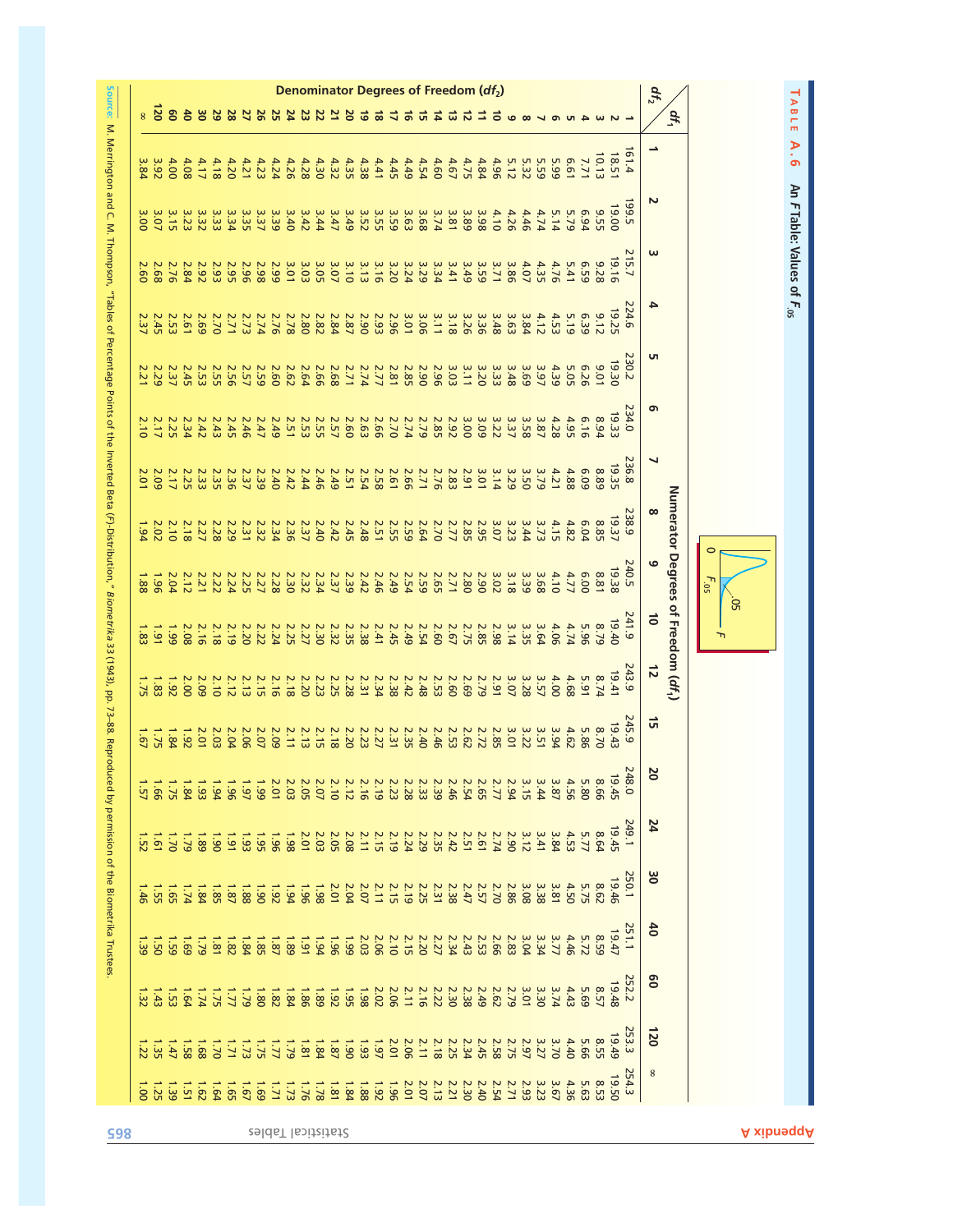|                   |                   |                         |                     |                   |                  |                |                                                             |                  |                |      |                                                                                                                                                                                                                                                                                              |      |                |                         |                                                             |           |              |      | Denominator Degrees of Freedom (df <sub>2</sub> )                           |             |              |      |             |                  |                                                            |      |                               |      |      |      |            |                |              | $d_{I_2}$       |                                    |                   |                                        |
|-------------------|-------------------|-------------------------|---------------------|-------------------|------------------|----------------|-------------------------------------------------------------|------------------|----------------|------|----------------------------------------------------------------------------------------------------------------------------------------------------------------------------------------------------------------------------------------------------------------------------------------------|------|----------------|-------------------------|-------------------------------------------------------------|-----------|--------------|------|-----------------------------------------------------------------------------|-------------|--------------|------|-------------|------------------|------------------------------------------------------------|------|-------------------------------|------|------|------|------------|----------------|--------------|-----------------|------------------------------------|-------------------|----------------------------------------|
|                   | <b>N</b>          | 80                      |                     | 8O                | 29               | 28             | $\overline{\mathbf{z}}$                                     | 92               | S2             |      |                                                                                                                                                                                                                                                                                              | 22   | $\overline{z}$ | <b>b</b>                | ಕ                                                           | $\vec{8}$ |              |      | 긊                                                                           | ՟           | ದ            |      |             |                  |                                                            |      |                               |      |      |      |            |                |              |                 | df <sub>1</sub>                    |                   | TABLE                                  |
| $\overline{8}$    | $4.00$<br>$3.92$  |                         | 4.08                | 4.17              | 4.18             | 4.20           | 4.21                                                        | 4.23             | 4.24           |      | $4.38$<br>$4.28$                                                                                                                                                                                                                                                                             |      | 4.32           | 4.35                    | 4.38                                                        | 4.41      | 4.45         | 4.49 | 4.54                                                                        | 4.60        | 4.67         | 4.75 | 4.84        | 4.96             | $5.32$<br>$5.12$                                           |      | 5.59                          | 5.99 | 19'9 | 7.71 | 10.13      | 18.51          | $-1.4$       |                 |                                    |                   | A.6                                    |
| 3.00              | 3.15              |                         | 3.23                | 3.32              | 3.33             | 3.34           | 3.35                                                        | 3.37             | 3.39           | 3.40 | 3.42                                                                                                                                                                                                                                                                                         | 3.44 | 3.47           | 3.49                    | 3.55<br>3.52                                                |           | 3.59         | 3.63 | 3.68                                                                        | 3.74        | 3.81         | 3.89 | 3.98        | 4.10             | 4.26                                                       | 4.46 | 4.74                          | 5.14 | 5.79 | 6.94 | <b>525</b> | 19.00          | 199.5        | N               |                                    |                   | An F Table: Values of F. <sub>05</sub> |
| 2.60              | 2.68              | 2.76                    | 2.84                | 2.92              | 2.93             | 2.95           | 2.96                                                        | 2.98             |                |      |                                                                                                                                                                                                                                                                                              |      |                |                         | $3.16$<br>$3.13$                                            |           | 3.20         | 3.24 | 3.29                                                                        | 3.34        | 3.41         | 3.49 | 3.59        | 3.86             |                                                            | 4.07 | 4.35                          | 4.76 | 5.41 | 65.9 | 826        | 19.16          | 215.7        | ω               |                                    |                   |                                        |
| 2.37              | <b>2.45</b>       | <b>2.53</b>             | 2.61                | 2.69              | 2.70             | 2.71           | 2.73                                                        | 2.74             | 2.76           |      | $\frac{2.82}{2.78}$                                                                                                                                                                                                                                                                          |      | 2.84           | 2.87                    | 2.90                                                        |           |              |      |                                                                             | 3.11        | 3.18         | 3.26 | 3.36        |                  | $\begin{array}{c} 3.84 \\ 3.63 \\ 4.9 \\ 3.48 \end{array}$ |      | 4.12                          | 4.53 | 6:39 |      | 9.12       | 19.25          | 224.6        | 4               |                                    |                   |                                        |
| 2.21              | 2.37<br>2.29      |                         | 2.45                | <b>2.53</b>       | <b>2.55</b>      |                |                                                             |                  |                |      | $\begin{array}{c} 2\  \  \, 2\  \  \, 2\  \  \, 2\  \  \, 2\  \  \, 2\  \  \, 2\  \  \, 2\  \  \, 2\  \  \, 2\  \  \, 2\  \  \, 2\  \  \, 2\  \  \, 2\  \  \, 2\  \  \, 2\  \  \, 2\  \  \, 2\  \  \, 2\  \  \, 2\  \  \, 2\  \  \, 2\  \  \, 2\  \  \, 2\  \  \, 2\  \  \, 2\  \  \, 2\  \$ |      |                |                         |                                                             |           |              |      |                                                                             | <b>2.96</b> | 3.03         | 3.11 | 3.20        | 3.33             | 3.48                                                       | 3.69 | 3.97                          | 4.39 | 5.05 | 6.26 | 10'6       | 19.30          | 230.2        | G               |                                    |                   |                                        |
| 2.10              | 2.25              |                         | 2.34                | 2.42              | 2.43             | 2.45           | 2.46                                                        | 2.47             | 2.49           |      | 2.55<br>2.55                                                                                                                                                                                                                                                                                 |      | <b>2.57</b>    | 2.60                    | 2.66<br>2.63                                                |           | 2.70         | 2.74 | 2.79                                                                        | 2.85        | 2.92         | 3.00 | 3.09        | 3.22             | 3.37                                                       | 3.58 | 3.87                          | 4.28 | 4.95 | 6.16 | 8.94       | 19.33          | 234.0        | ෨               |                                    |                   |                                        |
| 2.01              | 2.17<br>2.09      |                         | 2.25                | 2.33              | 2.35             |                | $\begin{array}{c} 2.49 \\ 2.39 \\ 2.39 \\ 2.36 \end{array}$ |                  |                |      | 2.44<br>2.42                                                                                                                                                                                                                                                                                 | 2.46 | 2.49           | <b>2.51</b>             | $\begin{array}{c} 2.66 \\ 2.58 \\ 2.59 \\ 2.54 \end{array}$ |           |              |      | 2.71                                                                        |             | 2.83         | 3.91 |             | $3.29$<br>$3.14$ |                                                            | 3.50 | 3.79                          | 4.21 | 4.88 | 60'9 | 8.89       | 19.35          | 236.8        | ↘               |                                    |                   |                                        |
| 1.94              | 2.02              | 2.10                    | 2.18                | 2.27              | 2.28             | 2.29           | 2.31                                                        | 2.32             |                |      | $\begin{array}{c} 2.40 \\ 2.37 \\ 2.39 \\ 2.34 \end{array}$                                                                                                                                                                                                                                  |      | 2.42           | 2.45                    | $\begin{array}{c} 2.59 \\ 2.55 \\ 2.48 \end{array}$         |           |              |      | 2.64                                                                        | 2.70        | 2.77         |      |             |                  |                                                            |      | 3.73                          | 4.15 | 4.82 | 6.04 | 8.85       | 19.37          | <b>138.9</b> | $\infty$        |                                    |                   |                                        |
| 1.88              | 961               |                         | $\frac{2.21}{2.04}$ |                   | <b>2.22</b>      |                | $\begin{array}{l} 2.22 \\ 2.27 \\ 2.25 \\ 2.34 \end{array}$ |                  |                |      | 2.32<br>2.32<br>2.30                                                                                                                                                                                                                                                                         |      | 2.39           |                         | 2.46                                                        |           | 2.54<br>2.49 |      | <b>2.59</b>                                                                 |             | 2.71<br>2.65 | 2.80 | 2.90        | 3.02             | 3.18                                                       | 3.39 | 3.68                          | 4.10 | 4.77 | 00'9 | 8.81       | 19.38          | 240.5        | 6               |                                    | C<br>$F_{.05}$    |                                        |
| 1.83              | 1.91              | <b>G6</b> <sup>-1</sup> | 2.08                | 2.16              | 2.18             | 2.19           | 2.20                                                        |                  | 2.22           |      | 2.30<br>2.25                                                                                                                                                                                                                                                                                 |      | 2.35<br>2.32   |                         | 2.38                                                        | 2.41      | 2.45         | 2.49 | 2.54                                                                        | 2.60        | 2.67         | 2.75 | 2.85        | 2.98             | 3.14                                                       | 3.35 | 3.64                          | 4.06 | 4.74 | 5.96 | 8.79       | 19.40          | 241.9        | $\vec{0}$       | Numerator Degrees of Freedom (df,) | $50^{\circ}$<br>᠇ |                                        |
|                   | 1.83              | 261                     | 2.00                | 2.09              | 2.10             | 2.12           | 2.13                                                        | $2.16$<br>$2.15$ |                |      | $\frac{2.23}{2.18}$                                                                                                                                                                                                                                                                          |      | 2.28<br>2.25   |                         | 2.31                                                        | 2.34      | 2.38         | 2.42 | 2.48                                                                        | <b>2.53</b> | 2.60         | 2.69 | 2.79        | 3.97             |                                                            | 3.28 | 3.57                          | 4.00 | 4.68 | 5.91 | 8.74       | 19.41          | 243.9        | $\vec{v}$       |                                    |                   |                                        |
| $\overline{1.67}$ | $1.84$<br>$1.75$  |                         | 261                 | 2.01              | 2.03             | 2.04           | 2.06                                                        |                  | 2.09<br>2.07   |      | $2.19$<br>2.12<br>2.11                                                                                                                                                                                                                                                                       |      | 2.18           | 2.20                    | $\begin{array}{c} 2.35 \\ 2.77 \\ 2.29 \\ 2.29 \end{array}$ |           |              |      | 2.40                                                                        | 2.46        | <b>2.53</b>  | 2.62 | 2.72        |                  |                                                            |      | 3<br>3 1 2 3 3 8<br>3 1 2 3 8 |      | 4.62 | 5.86 | 8.70       | 19.43          | 245.9        | $\vec{q}$       |                                    |                   |                                        |
|                   | $\frac{1}{9}$     | 52 <sup>-1</sup>        | 1.84                |                   | 1.94             |                | 2.01<br>1.97<br>1.97                                        |                  |                |      | 2.05                                                                                                                                                                                                                                                                                         | 2.07 | 2.10           | 2.12                    | 2.16                                                        | 2.19      | 2.23         | 2.28 | 2.33                                                                        | 2.39        | 2.46         | 2.54 | <b>2.65</b> | 2.77             | 2.94                                                       | 3.15 | 3.44                          | 3.87 | 4.56 | 5.80 | 99'8       | 248.0<br>19.45 |              | N<br>0          |                                    |                   |                                        |
| is2               | $\overline{9}$    | $\overline{a}$          | 62                  | $\overline{8}$    | $\overline{18}$  | $\overline{5}$ | 1.93                                                        |                  | 1.95           |      | $\begin{array}{cccc}\n 2 & 2 & 3 & 2 & 3 \\  2 & 2 & 3 & 5 & 3 \\  3 & 3 & 2 & 3 & 3\n \end{array}$                                                                                                                                                                                          |      |                |                         | 2.15                                                        |           |              |      | $\frac{2.29}{2.349}$                                                        | 2.35        | 2.42         | 2.51 | 2.61        | 2.74             | 2.90                                                       | 3.12 | 3.41                          | 3.84 | 4.53 | 5.77 | 8.64       | 19.45          | 249.1        | 24              |                                    |                   |                                        |
| $-9t$             | 1.55              |                         | $1.34$<br>$1.74$    |                   |                  |                |                                                             |                  |                |      | $\frac{1}{9}$ $\frac{1}{2}$ $\frac{1}{9}$ $\frac{1}{8}$ $\frac{1}{8}$ $\frac{1}{8}$ $\frac{1}{8}$ $\frac{1}{8}$ $\frac{1}{8}$                                                                                                                                                                | 1.98 | 2.01           | 2.04                    | $\begin{array}{c} 2.19 \\ 2.79 \\ 2.07 \\ 2.07 \end{array}$ |           |              |      | <b>2.25</b>                                                                 | 2.31        | 2.38         | 2.47 | 2.57        | 2.86             |                                                            | 3.08 | 3.38                          | 3.81 | 4.50 | 5.75 | 8.62       | 19.46          | 250.1        | ဗွ              |                                    |                   |                                        |
|                   |                   |                         | $-69$               | 62                | $\overline{181}$ | 1.84           |                                                             |                  |                |      |                                                                                                                                                                                                                                                                                              |      |                |                         |                                                             |           |              |      | $\begin{array}{c} 2.373 \\ 2.373 \\ -0.01 \\ -0.01 \\ -0.01 \\ \end{array}$ |             |              | 2.43 | 2.53        | 2.83<br>2.66     |                                                            | 3.04 | 3.34                          | 3.77 | 4.46 | 5.72 | 8.59       | 19.47          | 251.1        | 6 <sup>1</sup>  |                                    |                   |                                        |
| $\frac{25}{2}$    |                   | 1.53                    | 1.64                | 1.74              | 52 <sub>1</sub>  |                |                                                             |                  |                |      |                                                                                                                                                                                                                                                                                              |      |                |                         |                                                             |           |              |      |                                                                             |             | 2.30         | 2.38 | 2.49        | 2.79             |                                                            | 3.01 | 3.30                          | 3.74 | 4.43 | 5.69 | 8.57       | 19.48          |              | 80              |                                    |                   |                                        |
|                   | $\frac{1.35}{22}$ | $\overline{1+1}$        | $\overline{1.58}$   | $\overline{1.68}$ | $0\angle 1$      | Γ.             | $\overline{\epsilon}$                                       |                  | $\frac{1}{77}$ |      | $\frac{1.81}{7.79}$                                                                                                                                                                                                                                                                          | 1.84 | 1.87           | <b>O</b> <sup>6</sup> 1 | $\frac{2.07}{1.93}$                                         |           |              | 2.06 | 2.11                                                                        | 2.18        | <b>2.25</b>  | 2.34 | 2.45        | <b>2.58</b>      | 2.75                                                       | 2.97 | 3.27                          | 3.70 | 4.40 | 5.66 | 8.55       | 19.49          | <b>53.3</b>  | $\overline{50}$ |                                    |                   |                                        |
| $\overline{10}$   | 1.25              | $\overline{35}$         | $\overline{5}$      | 1.62              | 1.64             | $-65$          | 1.67                                                        | $-69$            | T.71           | 1.73 | 1.76                                                                                                                                                                                                                                                                                         | 1.78 |                |                         | $\frac{1}{3}$ $\frac{1}{88}$ $\frac{1}{82}$ $\frac{1}{82}$  |           | $96^{\circ}$ | 2.01 | 2.07                                                                        |             | 2.21         | 2.30 | 2.40        | 2.54             | 2.71                                                       | 2.93 | 3.23                          | 3.67 | 4.36 | 5.63 | 8.53       | 19.50          | 254.3        | 8               |                                    |                   |                                        |

**865** Selds The Research Application Selds The Research Application Selds The Selds The Selds The Selds The Selds The Selds The Selds The Selds The Selds The Selds The Selds The Selds The Selds The Selds The Selds The Seld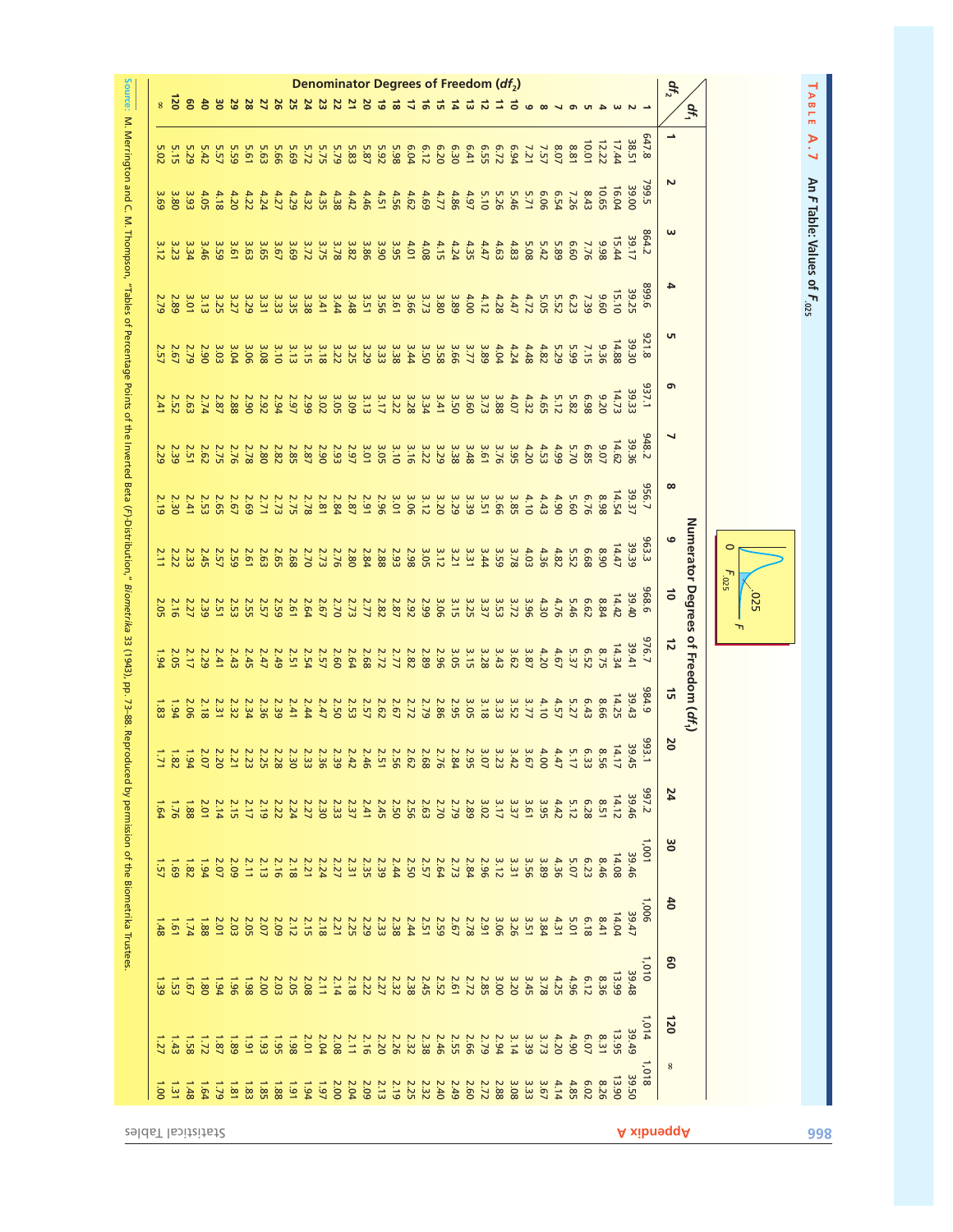

| $8\overline{8}$ |                  | es   | $\ddot{\sigma}$ | ័           | 29          | 28   | 26                                               |             |             | $\mathbf{z}$        | Denominator Degrees of Freedom (df <sub>2</sub> )<br>23 | $\overline{z}$ | $\frac{20}{21}$ |             | $\vec{6}$                                     | ಹ           | 4           | ್           | 긊           | $\vec{a}$   | ದ    | ನ           | 口    | ಕ    |              |                  |      |      |                         |       |                |              | $df_2$                   | $\sigma_{\text{f}}$                |                           |  |
|-----------------|------------------|------|-----------------|-------------|-------------|------|--------------------------------------------------|-------------|-------------|---------------------|---------------------------------------------------------|----------------|-----------------|-------------|-----------------------------------------------|-------------|-------------|-------------|-------------|-------------|------|-------------|------|------|--------------|------------------|------|------|-------------------------|-------|----------------|--------------|--------------------------|------------------------------------|---------------------------|--|
| 02 <sup>o</sup> |                  | 5.29 | 5.42            | 5.57        | 5.59        | 5.61 | 5.63                                             | <b>5.66</b> | 5.69        | 5.72                | 5.75                                                    | 5.79           | 5.83            | 5.87        | 5.92                                          | 5.98        | 6.04        | 6.12        | 6.20        | 6.30        | 6.41 | <b>6.55</b> | 6.72 | 6.94 | 7.21         | 7.57             | 8.07 | 8.81 | 10.01                   | 12.22 | 38.51<br>17.44 | 647.8        | $\overline{\phantom{a}}$ |                                    |                           |  |
| 69              | 3.80             | 3.93 | 4.05            | 4.18        | 4.20        | 4.22 | 4.24                                             | 4.27        | 4.29        | 4.32                | 4.35                                                    | 4.38           | 4.42            | 4.46        | 4.51                                          | 4.56        | 4.62        | 4.69        | 4.77        | 4.86        | 4.97 | 5.10        | 5.26 | 5.46 | 5.71         | 90'9             | 6.54 | 7.26 | 10.65<br>8.43           |       | 39.00<br>16.04 | 799.5        | Z                        |                                    |                           |  |
| 3.12            | 3.23             | 3.34 | 3.46            | 3.59        | 3.61        | 3.63 | 3.65                                             | 3.67        | 3.69        | 3.72                | 3.75                                                    | 3.78           | 3.82            | 3.86        | 3.90                                          | 3.95        | 4.01        | 4.08        | 4.15        | 4.24        | 4.35 | 4.47        | 4.63 | 4.83 | 5.42<br>5.08 |                  | 5.89 | 09'9 | 7.76<br>866             |       | 39.17<br>15.44 | 864.2        | ω                        |                                    |                           |  |
| $\overline{5}$  | 2.89             | 3.01 | 3.13            | 3.25        | 3.27        | 3.29 | 3.31                                             | 3.33        | 3.35        | 3.38                | 3.41                                                    | 3.44           | 3.48            | 3.51        | 3.56                                          | 3.61        | 3.66        | 3.73        | 3.80        | 3.89        | 4.00 | 4.12        | 4.28 | 4.47 | 4.72         | 5.05             | 5.52 | 6.23 | 096<br>7.39             |       | 39.25<br>15.10 | 9668         | 4                        |                                    |                           |  |
| 2.57            | 2.67             | 2.79 | 2.90            | 3.03        | 3.04        | 3.06 | 3.08                                             | 3.10        | 3.13        | 3.15                | 3.18                                                    | 3.22           | 3.25            | 3.29        | 3.33                                          | 3.38        | 3.44        | 3.50        | 3.58        | 3.66        | 3.77 | 3.89        | 4.04 | 4.24 | 4.48         | 4.82             | 5.29 | 5.99 | 9.36<br>7.15            |       | 39.30<br>14.88 | 821.8        | S                        |                                    |                           |  |
| $\ddot{41}$     | <b>2.52</b>      | 2.63 | 2.74            | 2.87        | 2.88        | 2.90 | 2.92                                             | 2.94        | 2.97        | 2.99                | 3.02                                                    | 3.05           | 3.09            | 3.13        | 3.17                                          | 3.22        | 3.28        | 3.34        | 3.41        | 3.50        | 3.60 | 3.73        | 3.88 | 4.07 | 4.32         | 4.65             | 5.12 | 5.82 | 86.9<br>02.20           |       | 39.33<br>14.73 | 137.1        | $\sigma$                 |                                    |                           |  |
| 2.29            | 2.39             | 2.51 | 2.62            | <b>2.75</b> | 2.76        | 2.78 | 2.80                                             | 2.82        | <b>2.85</b> | 2.87                | 2.90                                                    | 2.93           | 2.97            | 3.01        | 3.05                                          | 3.10        | 3.16        | 3.22        | 3.29        | 3.38        | 3.48 | 3.61        | 3.76 | 3.95 | 4.20         | 4.53             | 4.99 | 5.70 | 9.07<br>E8 <sub>3</sub> |       | 14.62<br>39.36 | 948.2        | ┙                        |                                    |                           |  |
| 2.19            | 2.30             | 2.41 | <b>2.53</b>     | 2.65        | 2.67        | 2.69 | 2.71                                             | 2.73        | <b>2.75</b> | 2.78                | 2.81                                                    | 2.84           | 2.87            | 2.91        | 2.96                                          | 3.01        | 3.06        | 3.12        | 3.20        | 3.29        | 3.39 | 3.51        | 3.66 | 3.85 | 4.10         | 4.43             | 4.90 | 5.60 | 8.98<br>6.76            |       | 39.37<br>14.54 | 556.7        | $\infty$                 |                                    |                           |  |
| 2.11            | 2.22             | 2.33 | <b>2.45</b>     | 2.57        | 2.59        | 2.61 | 2.63                                             | 2.65        | 2.68        | 2.70                | 2.73                                                    | 2.76           | 2.80            | 2.84        | 2.88                                          | 2.93        | 2.98        | 3.05        | 3.12        | 3.21        | 3.31 | 3.44        | 3.59 | 3.78 | 4.03         | 4.36             | 4.82 | 5.52 | 89'9<br>8.90            |       | 39.39<br>14.47 | 963.3        | $\circ$                  |                                    | $\circ$                   |  |
| 2.05            | 2.16             | 2.27 | 2.39            | 2.51        | <b>2.53</b> | 2.55 | 2.59<br>2.57                                     |             | 2.61        | 2.64                | 2.67                                                    | 2.70           | 2.73            | 2.77        | 2.82                                          | 2.87        | 2.92        | 2.99        | 3.06        | 3.15        | 3.25 | 3.37        | 3.53 | 3.72 | 39.96        | 4.30             | 4.76 | 5.46 | <b>6.62</b>             | 8.84  | 39.40<br>14.42 | 968.6        | $\vec{0}$                |                                    | $F_{.025}$<br><b>.025</b> |  |
| 1.94            | 2.05             | 2.17 | 2.29            | 2.41        | 2.43        | 2.45 | 2.47                                             | 2.49        | 2.51        | 2.54                | <b>2.57</b>                                             | 2.60           | 2.64            | 2.68        | $\begin{array}{c}\n2.77 \\ 2.72\n\end{array}$ |             | 2.82        | 2.89        | 2.96        | 3.05        | 3.15 | 3.28        | 3.43 | 3.62 | 3.87         | 4.20             | 4.67 | 5.37 | E.52                    | 8.75  | 39.41<br>14.34 | 576.7        | $\vec{z}$                | Numerator Degrees of Freedom (df1) | ᠇                         |  |
| 1.83            | 1.94             | 2.06 | 2.18            | 2.31        | 2.32        | 2.34 | 2.36                                             | 2.39        | 2.41        | 2.44                | 2.47                                                    | <b>2.50</b>    | <b>2.53</b>     | <b>2.57</b> | 2.62                                          | 2.67        | 2.72        | 2.79        | 2.86        | <b>2.95</b> | 3.05 | 3.18        | 3.33 | 3.52 | 3.77         | 4.10             | 4.57 | 5.27 | 8.66<br>6.43            |       | 39.43<br>14.25 | 984.9        | $\vec{a}$                |                                    |                           |  |
| $171$           | 1.82             | 1.94 | 2.07            | 2.20        | <b>2.21</b> |      |                                                  |             |             |                     |                                                         |                |                 |             |                                               |             |             |             |             |             |      |             |      |      |              |                  |      | 6.33 | 8.56                    |       | 39.45<br>14.17 | 993.1        | <b>DZ</b>                |                                    |                           |  |
| $-64$           | $9L^2L$          | 1.88 | 2.01            | 2.14        | <b>2.15</b> | 2.17 |                                                  |             |             |                     |                                                         |                | 2.37            | 2.41        | 2.45                                          | <b>2.50</b> | 2.56        | 2.63        | 2.70        | 2.79        | 2.89 | 3.02        | 3.17 | 3.37 | 3.61         | 3.95             | 4.42 | 5.12 | 8.51<br>6.28            |       | 39.46<br>14.12 | <b>297.2</b> | 24                       |                                    |                           |  |
|                 |                  |      |                 |             |             |      |                                                  |             |             |                     |                                                         |                |                 |             |                                               |             |             |             |             |             |      |             |      |      |              |                  |      |      |                         |       | 39.46          | 100'L        | 8                        |                                    |                           |  |
| 1.57            | 69 <sup>-1</sup> | 1.82 | 1.94            | 2.07        | 2.09        | 2.11 | <b>2.13</b>                                      | 2.16        | 2.18        | 2.24                |                                                         | 2.27           | 2.31            | <b>2.35</b> | 2.39                                          | 2.44        | <b>2.50</b> | <b>2.57</b> | 2.64        | 2.73        | 2.84 | 2.96        | 3.12 | 3.31 | 3.56         | 3.89             | 4.36 | 5.07 | 8.46<br>6.23            |       | 14.08          | 1,006        | $\frac{4}{5}$            |                                    |                           |  |
| á               | $19^{\circ}1$    | vL   | 1.88            | 2.01        | 2.03        | 2.05 | 2.07                                             | 2.09        | 2.12        | <b>2.15</b>         | 2.18                                                    | 2.25<br>2.21   |                 | 2.29        | <b>2.33</b>                                   | 2.38        | 2.44        | <b>2.51</b> | <b>2.59</b> | 2.67        | 2.78 | 2.91        | 3.06 | 3.26 | 3.51         | $4.31$<br>$3.84$ |      | 5.01 | 6.18<br>8.41            |       | 39.47<br>14.04 |              |                          |                                    |                           |  |
| is<br>6         | 1.53             | 19.7 | 081             | 1.94        | 961         | 1.98 | 2.00                                             | 2.03        | <b>2.05</b> | 2.08                | 2.11                                                    | 2.14           | 2.18            | <b>2.22</b> | 2.27                                          | 2.32        | 2.38        | 2.45        | <b>2.52</b> | 2.61        | 2.72 | <b>2.85</b> | 3.00 | 3.20 | 3.45         | 3.78             | 4.25 | 4.96 | 8.36<br>6.12            |       | 39.48<br>13.99 | $1,010$      | 8                        |                                    |                           |  |
| 127             | 1.43             | 1.58 | 1.72            | 1.87        |             |      |                                                  |             | 1.98        | $\frac{2.04}{2.01}$ |                                                         | 2.08           | 2.11            | 2.16        | 2.20                                          | 2.26        | 2.32        | 2.38        | 2.46        | <b>2.55</b> | 2.66 | 2.79        | 2.94 | 3.14 | 3.39         | 3.73             | 4.20 | 4.90 | <b>6.07</b><br>8.31     |       | 39.49<br>13.95 | 1,014        | 120                      |                                    |                           |  |
| 001             | 1.31             | 8t/1 | <b>P9'l</b>     | 6L1         | 18.1        |      | $\begin{array}{c}\n 1.86 \\  1.85\n \end{array}$ |             | 161         | b21                 | 161                                                     | 2.00           | 2.04            | 2.09        | 2.13                                          | 2.19        | <b>2.25</b> | 2.32        | 2.40        | 2.49        | 2.60 | 2.72        | 2.88 | 3.08 | 3.33         | 3.67             | 4.14 | 4.85 | 8.26<br>E.02            |       | 39.50<br>13.90 | 1,018        | $\boldsymbol{8}$         |                                    |                           |  |